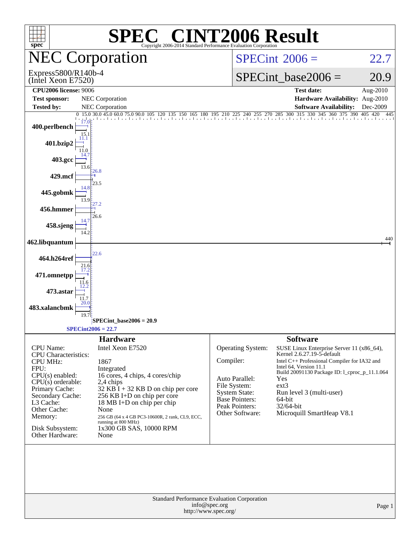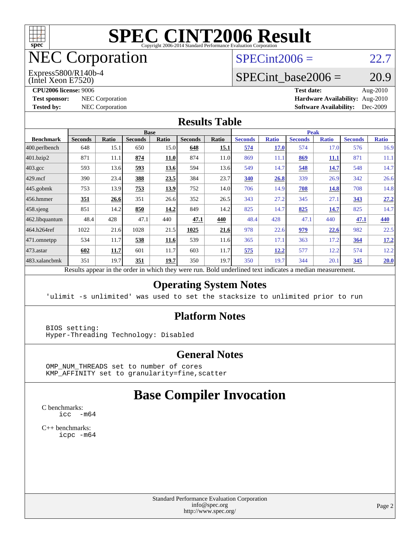

# NEC Corporation

(Intel Xeon E7520) Express5800/R140b-4  $SPECint2006 = 22.7$  $SPECint2006 = 22.7$ 

# SPECint base2006 =  $20.9$

**[CPU2006 license:](http://www.spec.org/auto/cpu2006/Docs/result-fields.html#CPU2006license)** 9006 **[Test date:](http://www.spec.org/auto/cpu2006/Docs/result-fields.html#Testdate)** Aug-2010 **[Test sponsor:](http://www.spec.org/auto/cpu2006/Docs/result-fields.html#Testsponsor)** NEC Corporation **[Hardware Availability:](http://www.spec.org/auto/cpu2006/Docs/result-fields.html#HardwareAvailability)** Aug-2010 **[Tested by:](http://www.spec.org/auto/cpu2006/Docs/result-fields.html#Testedby)** NEC Corporation **[Software Availability:](http://www.spec.org/auto/cpu2006/Docs/result-fields.html#SoftwareAvailability)** Dec-2009

#### **[Results Table](http://www.spec.org/auto/cpu2006/Docs/result-fields.html#ResultsTable)**

|                    | <b>Base</b>                                       |              |                |              |                |              |                                                     | <b>Peak</b>  |                |              |                |              |  |
|--------------------|---------------------------------------------------|--------------|----------------|--------------|----------------|--------------|-----------------------------------------------------|--------------|----------------|--------------|----------------|--------------|--|
| <b>Benchmark</b>   | <b>Seconds</b>                                    | <b>Ratio</b> | <b>Seconds</b> | <b>Ratio</b> | <b>Seconds</b> | <b>Ratio</b> | <b>Seconds</b>                                      | <b>Ratio</b> | <b>Seconds</b> | <b>Ratio</b> | <b>Seconds</b> | <b>Ratio</b> |  |
| $ 400$ .perlbench  | 648                                               | 15.1         | 650            | 15.0         | 648            | 15.1         | 574                                                 | <b>17.0</b>  | 574            | 17.0         | 576            | 16.9         |  |
| 401.bzip2          | 871                                               | 11.1         | 874            | <b>11.0</b>  | 874            | 11.0         | 869                                                 | 11.1         | 869            | <u>11.1</u>  | 871            | 11.1         |  |
| $403.\mathrm{gcc}$ | 593                                               | 13.6         | 593            | 13.6         | 594            | 13.6         | 549                                                 | 14.7         | 548            | 14.7         | 548            | 14.7         |  |
| $429$ mcf          | 390                                               | 23.4         | 388            | 23.5         | 384            | 23.7         | 340                                                 | 26.8         | 339            | 26.9         | 342            | 26.6         |  |
| $445$ .gobmk       | 753                                               | 13.9         | 753            | 13.9         | 752            | 14.0         | 706                                                 | 14.9         | 708            | 14.8         | 708            | 14.8         |  |
| $456.$ hmmer       | 351                                               | 26.6         | 351            | 26.6         | 352            | 26.5         | 343                                                 | 27.2         | 345            | 27.1         | 343            | 27.2         |  |
| $458$ .sjeng       | 851                                               | 14.2         | 850            | 14.2         | 849            | 14.2         | 825                                                 | 14.7         | 825            | 14.7         | 825            | 14.7         |  |
| 462.libquantum     | 48.4                                              | 428          | 47.1           | 440          | 47.1           | 440          | 48.4                                                | 428          | 47.1           | 440          | 47.1           | 440          |  |
| 464.h264ref        | 1022                                              | 21.6         | 1028           | 21.5         | 1025           | 21.6         | 978                                                 | 22.6         | 979            | 22.6         | 982            | 22.5         |  |
| 471.omnetpp        | 534                                               | 11.7         | 538            | 11.6         | 539            | 11.6         | 365                                                 | 17.1         | 363            | 17.2         | 364            | 17.2         |  |
| $473.$ astar       | 602                                               | 11.7         | 601            | 11.7         | 603            | 11.7         | 575                                                 | 12.2         | 577            | 12.2         | 574            | 12.2         |  |
| 483.xalancbmk      | 351                                               | 19.7         | 351            | 19.7         | 350            | 19.7         | 350                                                 | 19.7         | 344            | 20.1         | 345            | 20.0         |  |
|                    | Decute conceal in the order in which they were my |              |                |              |                |              | Dold underlined text indicates a madien measurement |              |                |              |                |              |  |

Results appear in the [order in which they were run.](http://www.spec.org/auto/cpu2006/Docs/result-fields.html#RunOrder) Bold underlined text [indicates a median measurement.](http://www.spec.org/auto/cpu2006/Docs/result-fields.html#Median)

#### **[Operating System Notes](http://www.spec.org/auto/cpu2006/Docs/result-fields.html#OperatingSystemNotes)**

'ulimit -s unlimited' was used to set the stacksize to unlimited prior to run

#### **[Platform Notes](http://www.spec.org/auto/cpu2006/Docs/result-fields.html#PlatformNotes)**

 BIOS setting: Hyper-Threading Technology: Disabled

#### **[General Notes](http://www.spec.org/auto/cpu2006/Docs/result-fields.html#GeneralNotes)**

 OMP\_NUM\_THREADS set to number of cores KMP\_AFFINITY set to granularity=fine,scatter

### **[Base Compiler Invocation](http://www.spec.org/auto/cpu2006/Docs/result-fields.html#BaseCompilerInvocation)**

[C benchmarks](http://www.spec.org/auto/cpu2006/Docs/result-fields.html#Cbenchmarks): [icc -m64](http://www.spec.org/cpu2006/results/res2010q3/cpu2006-20100813-12857.flags.html#user_CCbase_intel_icc_64bit_f346026e86af2a669e726fe758c88044)

[C++ benchmarks:](http://www.spec.org/auto/cpu2006/Docs/result-fields.html#CXXbenchmarks) [icpc -m64](http://www.spec.org/cpu2006/results/res2010q3/cpu2006-20100813-12857.flags.html#user_CXXbase_intel_icpc_64bit_fc66a5337ce925472a5c54ad6a0de310)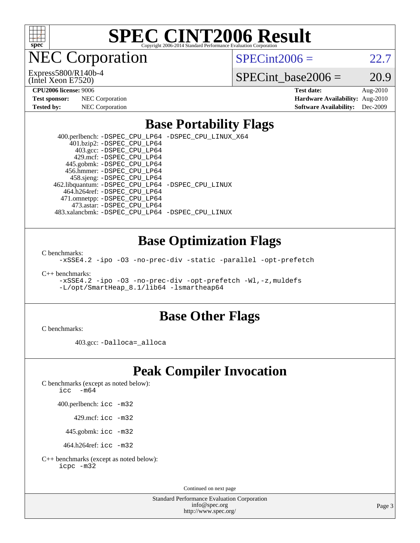

**EC Corporation** 

(Intel Xeon E7520) Express5800/R140b-4  $SPECint2006 = 22.7$  $SPECint2006 = 22.7$ 

SPECint base2006 =  $20.9$ 

**[Hardware Availability:](http://www.spec.org/auto/cpu2006/Docs/result-fields.html#HardwareAvailability)** Aug-2010 **[Software Availability:](http://www.spec.org/auto/cpu2006/Docs/result-fields.html#SoftwareAvailability)** Dec-2009

**[CPU2006 license:](http://www.spec.org/auto/cpu2006/Docs/result-fields.html#CPU2006license)** 9006 **[Test date:](http://www.spec.org/auto/cpu2006/Docs/result-fields.html#Testdate)** Aug-2010

| <b>Test sponsor:</b> | NEC Corporation        |
|----------------------|------------------------|
| <b>Tested by:</b>    | <b>NEC</b> Corporation |

# **[Base Portability Flags](http://www.spec.org/auto/cpu2006/Docs/result-fields.html#BasePortabilityFlags)**

 400.perlbench: [-DSPEC\\_CPU\\_LP64](http://www.spec.org/cpu2006/results/res2010q3/cpu2006-20100813-12857.flags.html#b400.perlbench_basePORTABILITY_DSPEC_CPU_LP64) [-DSPEC\\_CPU\\_LINUX\\_X64](http://www.spec.org/cpu2006/results/res2010q3/cpu2006-20100813-12857.flags.html#b400.perlbench_baseCPORTABILITY_DSPEC_CPU_LINUX_X64) 401.bzip2: [-DSPEC\\_CPU\\_LP64](http://www.spec.org/cpu2006/results/res2010q3/cpu2006-20100813-12857.flags.html#suite_basePORTABILITY401_bzip2_DSPEC_CPU_LP64) 403.gcc: [-DSPEC\\_CPU\\_LP64](http://www.spec.org/cpu2006/results/res2010q3/cpu2006-20100813-12857.flags.html#suite_basePORTABILITY403_gcc_DSPEC_CPU_LP64) 429.mcf: [-DSPEC\\_CPU\\_LP64](http://www.spec.org/cpu2006/results/res2010q3/cpu2006-20100813-12857.flags.html#suite_basePORTABILITY429_mcf_DSPEC_CPU_LP64) 445.gobmk: [-DSPEC\\_CPU\\_LP64](http://www.spec.org/cpu2006/results/res2010q3/cpu2006-20100813-12857.flags.html#suite_basePORTABILITY445_gobmk_DSPEC_CPU_LP64) 456.hmmer: [-DSPEC\\_CPU\\_LP64](http://www.spec.org/cpu2006/results/res2010q3/cpu2006-20100813-12857.flags.html#suite_basePORTABILITY456_hmmer_DSPEC_CPU_LP64) 458.sjeng: [-DSPEC\\_CPU\\_LP64](http://www.spec.org/cpu2006/results/res2010q3/cpu2006-20100813-12857.flags.html#suite_basePORTABILITY458_sjeng_DSPEC_CPU_LP64) 462.libquantum: [-DSPEC\\_CPU\\_LP64](http://www.spec.org/cpu2006/results/res2010q3/cpu2006-20100813-12857.flags.html#suite_basePORTABILITY462_libquantum_DSPEC_CPU_LP64) [-DSPEC\\_CPU\\_LINUX](http://www.spec.org/cpu2006/results/res2010q3/cpu2006-20100813-12857.flags.html#b462.libquantum_baseCPORTABILITY_DSPEC_CPU_LINUX) 464.h264ref: [-DSPEC\\_CPU\\_LP64](http://www.spec.org/cpu2006/results/res2010q3/cpu2006-20100813-12857.flags.html#suite_basePORTABILITY464_h264ref_DSPEC_CPU_LP64) 471.omnetpp: [-DSPEC\\_CPU\\_LP64](http://www.spec.org/cpu2006/results/res2010q3/cpu2006-20100813-12857.flags.html#suite_basePORTABILITY471_omnetpp_DSPEC_CPU_LP64) 473.astar: [-DSPEC\\_CPU\\_LP64](http://www.spec.org/cpu2006/results/res2010q3/cpu2006-20100813-12857.flags.html#suite_basePORTABILITY473_astar_DSPEC_CPU_LP64) 483.xalancbmk: [-DSPEC\\_CPU\\_LP64](http://www.spec.org/cpu2006/results/res2010q3/cpu2006-20100813-12857.flags.html#suite_basePORTABILITY483_xalancbmk_DSPEC_CPU_LP64) [-DSPEC\\_CPU\\_LINUX](http://www.spec.org/cpu2006/results/res2010q3/cpu2006-20100813-12857.flags.html#b483.xalancbmk_baseCXXPORTABILITY_DSPEC_CPU_LINUX)

### **[Base Optimization Flags](http://www.spec.org/auto/cpu2006/Docs/result-fields.html#BaseOptimizationFlags)**

[C benchmarks](http://www.spec.org/auto/cpu2006/Docs/result-fields.html#Cbenchmarks):

[-xSSE4.2](http://www.spec.org/cpu2006/results/res2010q3/cpu2006-20100813-12857.flags.html#user_CCbase_f-xSSE42_f91528193cf0b216347adb8b939d4107) [-ipo](http://www.spec.org/cpu2006/results/res2010q3/cpu2006-20100813-12857.flags.html#user_CCbase_f-ipo) [-O3](http://www.spec.org/cpu2006/results/res2010q3/cpu2006-20100813-12857.flags.html#user_CCbase_f-O3) [-no-prec-div](http://www.spec.org/cpu2006/results/res2010q3/cpu2006-20100813-12857.flags.html#user_CCbase_f-no-prec-div) [-static](http://www.spec.org/cpu2006/results/res2010q3/cpu2006-20100813-12857.flags.html#user_CCbase_f-static) [-parallel](http://www.spec.org/cpu2006/results/res2010q3/cpu2006-20100813-12857.flags.html#user_CCbase_f-parallel) [-opt-prefetch](http://www.spec.org/cpu2006/results/res2010q3/cpu2006-20100813-12857.flags.html#user_CCbase_f-opt-prefetch)

[C++ benchmarks:](http://www.spec.org/auto/cpu2006/Docs/result-fields.html#CXXbenchmarks)

[-xSSE4.2](http://www.spec.org/cpu2006/results/res2010q3/cpu2006-20100813-12857.flags.html#user_CXXbase_f-xSSE42_f91528193cf0b216347adb8b939d4107) [-ipo](http://www.spec.org/cpu2006/results/res2010q3/cpu2006-20100813-12857.flags.html#user_CXXbase_f-ipo) [-O3](http://www.spec.org/cpu2006/results/res2010q3/cpu2006-20100813-12857.flags.html#user_CXXbase_f-O3) [-no-prec-div](http://www.spec.org/cpu2006/results/res2010q3/cpu2006-20100813-12857.flags.html#user_CXXbase_f-no-prec-div) [-opt-prefetch](http://www.spec.org/cpu2006/results/res2010q3/cpu2006-20100813-12857.flags.html#user_CXXbase_f-opt-prefetch) [-Wl,-z,muldefs](http://www.spec.org/cpu2006/results/res2010q3/cpu2006-20100813-12857.flags.html#user_CXXbase_link_force_multiple1_74079c344b956b9658436fd1b6dd3a8a) [-L/opt/SmartHeap\\_8.1/lib64 -lsmartheap64](http://www.spec.org/cpu2006/results/res2010q3/cpu2006-20100813-12857.flags.html#user_CXXbase_SmartHeap64_7ff9c3d8ca51c2767359d6aa2f519d77)

#### **[Base Other Flags](http://www.spec.org/auto/cpu2006/Docs/result-fields.html#BaseOtherFlags)**

[C benchmarks](http://www.spec.org/auto/cpu2006/Docs/result-fields.html#Cbenchmarks):

403.gcc: [-Dalloca=\\_alloca](http://www.spec.org/cpu2006/results/res2010q3/cpu2006-20100813-12857.flags.html#b403.gcc_baseEXTRA_CFLAGS_Dalloca_be3056838c12de2578596ca5467af7f3)

### **[Peak Compiler Invocation](http://www.spec.org/auto/cpu2006/Docs/result-fields.html#PeakCompilerInvocation)**

[C benchmarks \(except as noted below\)](http://www.spec.org/auto/cpu2006/Docs/result-fields.html#Cbenchmarksexceptasnotedbelow):

icc  $-m64$ 

400.perlbench: [icc -m32](http://www.spec.org/cpu2006/results/res2010q3/cpu2006-20100813-12857.flags.html#user_peakCCLD400_perlbench_intel_icc_32bit_a6a621f8d50482236b970c6ac5f55f93)

429.mcf: [icc -m32](http://www.spec.org/cpu2006/results/res2010q3/cpu2006-20100813-12857.flags.html#user_peakCCLD429_mcf_intel_icc_32bit_a6a621f8d50482236b970c6ac5f55f93)

445.gobmk: [icc -m32](http://www.spec.org/cpu2006/results/res2010q3/cpu2006-20100813-12857.flags.html#user_peakCCLD445_gobmk_intel_icc_32bit_a6a621f8d50482236b970c6ac5f55f93)

464.h264ref: [icc -m32](http://www.spec.org/cpu2006/results/res2010q3/cpu2006-20100813-12857.flags.html#user_peakCCLD464_h264ref_intel_icc_32bit_a6a621f8d50482236b970c6ac5f55f93)

[C++ benchmarks \(except as noted below\):](http://www.spec.org/auto/cpu2006/Docs/result-fields.html#CXXbenchmarksexceptasnotedbelow) [icpc -m32](http://www.spec.org/cpu2006/results/res2010q3/cpu2006-20100813-12857.flags.html#user_CXXpeak_intel_icpc_32bit_4e5a5ef1a53fd332b3c49e69c3330699)

Continued on next page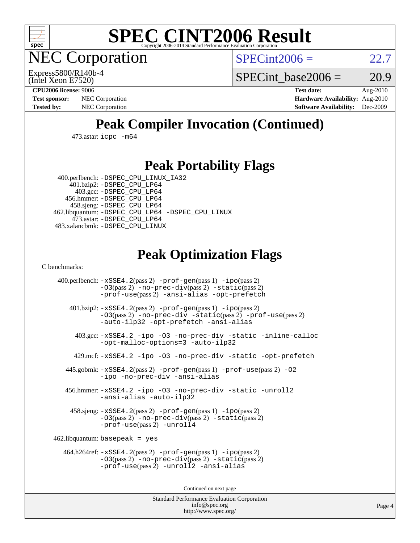

**EC Corporation** 

 $SPECint2006 = 22.7$  $SPECint2006 = 22.7$ 

(Intel Xeon E7520) Express5800/R140b-4 SPECint base2006 =  $20.9$ 

**[CPU2006 license:](http://www.spec.org/auto/cpu2006/Docs/result-fields.html#CPU2006license)** 9006 **[Test date:](http://www.spec.org/auto/cpu2006/Docs/result-fields.html#Testdate)** Aug-2010 **[Test sponsor:](http://www.spec.org/auto/cpu2006/Docs/result-fields.html#Testsponsor)** NEC Corporation **[Hardware Availability:](http://www.spec.org/auto/cpu2006/Docs/result-fields.html#HardwareAvailability)** Aug-2010 **[Tested by:](http://www.spec.org/auto/cpu2006/Docs/result-fields.html#Testedby)** NEC Corporation **[Software Availability:](http://www.spec.org/auto/cpu2006/Docs/result-fields.html#SoftwareAvailability)** Dec-2009

# **[Peak Compiler Invocation \(Continued\)](http://www.spec.org/auto/cpu2006/Docs/result-fields.html#PeakCompilerInvocation)**

473.astar: [icpc -m64](http://www.spec.org/cpu2006/results/res2010q3/cpu2006-20100813-12857.flags.html#user_peakCXXLD473_astar_intel_icpc_64bit_fc66a5337ce925472a5c54ad6a0de310)

### **[Peak Portability Flags](http://www.spec.org/auto/cpu2006/Docs/result-fields.html#PeakPortabilityFlags)**

 400.perlbench: [-DSPEC\\_CPU\\_LINUX\\_IA32](http://www.spec.org/cpu2006/results/res2010q3/cpu2006-20100813-12857.flags.html#b400.perlbench_peakCPORTABILITY_DSPEC_CPU_LINUX_IA32) 401.bzip2: [-DSPEC\\_CPU\\_LP64](http://www.spec.org/cpu2006/results/res2010q3/cpu2006-20100813-12857.flags.html#suite_peakPORTABILITY401_bzip2_DSPEC_CPU_LP64)

 403.gcc: [-DSPEC\\_CPU\\_LP64](http://www.spec.org/cpu2006/results/res2010q3/cpu2006-20100813-12857.flags.html#suite_peakPORTABILITY403_gcc_DSPEC_CPU_LP64) 456.hmmer: [-DSPEC\\_CPU\\_LP64](http://www.spec.org/cpu2006/results/res2010q3/cpu2006-20100813-12857.flags.html#suite_peakPORTABILITY456_hmmer_DSPEC_CPU_LP64) 458.sjeng: [-DSPEC\\_CPU\\_LP64](http://www.spec.org/cpu2006/results/res2010q3/cpu2006-20100813-12857.flags.html#suite_peakPORTABILITY458_sjeng_DSPEC_CPU_LP64) 462.libquantum: [-DSPEC\\_CPU\\_LP64](http://www.spec.org/cpu2006/results/res2010q3/cpu2006-20100813-12857.flags.html#suite_peakPORTABILITY462_libquantum_DSPEC_CPU_LP64) [-DSPEC\\_CPU\\_LINUX](http://www.spec.org/cpu2006/results/res2010q3/cpu2006-20100813-12857.flags.html#b462.libquantum_peakCPORTABILITY_DSPEC_CPU_LINUX) 473.astar: [-DSPEC\\_CPU\\_LP64](http://www.spec.org/cpu2006/results/res2010q3/cpu2006-20100813-12857.flags.html#suite_peakPORTABILITY473_astar_DSPEC_CPU_LP64) 483.xalancbmk: [-DSPEC\\_CPU\\_LINUX](http://www.spec.org/cpu2006/results/res2010q3/cpu2006-20100813-12857.flags.html#b483.xalancbmk_peakCXXPORTABILITY_DSPEC_CPU_LINUX)

# **[Peak Optimization Flags](http://www.spec.org/auto/cpu2006/Docs/result-fields.html#PeakOptimizationFlags)**

[C benchmarks](http://www.spec.org/auto/cpu2006/Docs/result-fields.html#Cbenchmarks):

 400.perlbench: [-xSSE4.2](http://www.spec.org/cpu2006/results/res2010q3/cpu2006-20100813-12857.flags.html#user_peakPASS2_CFLAGSPASS2_LDCFLAGS400_perlbench_f-xSSE42_f91528193cf0b216347adb8b939d4107)(pass 2) [-prof-gen](http://www.spec.org/cpu2006/results/res2010q3/cpu2006-20100813-12857.flags.html#user_peakPASS1_CFLAGSPASS1_LDCFLAGS400_perlbench_prof_gen_e43856698f6ca7b7e442dfd80e94a8fc)(pass 1) [-ipo](http://www.spec.org/cpu2006/results/res2010q3/cpu2006-20100813-12857.flags.html#user_peakPASS2_CFLAGSPASS2_LDCFLAGS400_perlbench_f-ipo)(pass 2) [-O3](http://www.spec.org/cpu2006/results/res2010q3/cpu2006-20100813-12857.flags.html#user_peakPASS2_CFLAGSPASS2_LDCFLAGS400_perlbench_f-O3)(pass 2) [-no-prec-div](http://www.spec.org/cpu2006/results/res2010q3/cpu2006-20100813-12857.flags.html#user_peakPASS2_CFLAGSPASS2_LDCFLAGS400_perlbench_f-no-prec-div)(pass 2) [-static](http://www.spec.org/cpu2006/results/res2010q3/cpu2006-20100813-12857.flags.html#user_peakPASS2_CFLAGSPASS2_LDCFLAGS400_perlbench_f-static)(pass 2) [-prof-use](http://www.spec.org/cpu2006/results/res2010q3/cpu2006-20100813-12857.flags.html#user_peakPASS2_CFLAGSPASS2_LDCFLAGS400_perlbench_prof_use_bccf7792157ff70d64e32fe3e1250b55)(pass 2) [-ansi-alias](http://www.spec.org/cpu2006/results/res2010q3/cpu2006-20100813-12857.flags.html#user_peakCOPTIMIZE400_perlbench_f-ansi-alias) [-opt-prefetch](http://www.spec.org/cpu2006/results/res2010q3/cpu2006-20100813-12857.flags.html#user_peakCOPTIMIZE400_perlbench_f-opt-prefetch) 401.bzip2: [-xSSE4.2](http://www.spec.org/cpu2006/results/res2010q3/cpu2006-20100813-12857.flags.html#user_peakPASS2_CFLAGSPASS2_LDCFLAGS401_bzip2_f-xSSE42_f91528193cf0b216347adb8b939d4107)(pass 2) [-prof-gen](http://www.spec.org/cpu2006/results/res2010q3/cpu2006-20100813-12857.flags.html#user_peakPASS1_CFLAGSPASS1_LDCFLAGS401_bzip2_prof_gen_e43856698f6ca7b7e442dfd80e94a8fc)(pass 1) [-ipo](http://www.spec.org/cpu2006/results/res2010q3/cpu2006-20100813-12857.flags.html#user_peakPASS2_CFLAGSPASS2_LDCFLAGS401_bzip2_f-ipo)(pass 2) [-O3](http://www.spec.org/cpu2006/results/res2010q3/cpu2006-20100813-12857.flags.html#user_peakPASS2_CFLAGSPASS2_LDCFLAGS401_bzip2_f-O3)(pass 2) [-no-prec-div](http://www.spec.org/cpu2006/results/res2010q3/cpu2006-20100813-12857.flags.html#user_peakCOPTIMIZEPASS2_CFLAGSPASS2_LDCFLAGS401_bzip2_f-no-prec-div) [-static](http://www.spec.org/cpu2006/results/res2010q3/cpu2006-20100813-12857.flags.html#user_peakPASS2_CFLAGSPASS2_LDCFLAGS401_bzip2_f-static)(pass 2) [-prof-use](http://www.spec.org/cpu2006/results/res2010q3/cpu2006-20100813-12857.flags.html#user_peakPASS2_CFLAGSPASS2_LDCFLAGS401_bzip2_prof_use_bccf7792157ff70d64e32fe3e1250b55)(pass 2) [-auto-ilp32](http://www.spec.org/cpu2006/results/res2010q3/cpu2006-20100813-12857.flags.html#user_peakCOPTIMIZE401_bzip2_f-auto-ilp32) [-opt-prefetch](http://www.spec.org/cpu2006/results/res2010q3/cpu2006-20100813-12857.flags.html#user_peakCOPTIMIZE401_bzip2_f-opt-prefetch) [-ansi-alias](http://www.spec.org/cpu2006/results/res2010q3/cpu2006-20100813-12857.flags.html#user_peakCOPTIMIZE401_bzip2_f-ansi-alias) 403.gcc: [-xSSE4.2](http://www.spec.org/cpu2006/results/res2010q3/cpu2006-20100813-12857.flags.html#user_peakCOPTIMIZE403_gcc_f-xSSE42_f91528193cf0b216347adb8b939d4107) [-ipo](http://www.spec.org/cpu2006/results/res2010q3/cpu2006-20100813-12857.flags.html#user_peakCOPTIMIZE403_gcc_f-ipo) [-O3](http://www.spec.org/cpu2006/results/res2010q3/cpu2006-20100813-12857.flags.html#user_peakCOPTIMIZE403_gcc_f-O3) [-no-prec-div](http://www.spec.org/cpu2006/results/res2010q3/cpu2006-20100813-12857.flags.html#user_peakCOPTIMIZE403_gcc_f-no-prec-div) [-static](http://www.spec.org/cpu2006/results/res2010q3/cpu2006-20100813-12857.flags.html#user_peakCOPTIMIZE403_gcc_f-static) [-inline-calloc](http://www.spec.org/cpu2006/results/res2010q3/cpu2006-20100813-12857.flags.html#user_peakCOPTIMIZE403_gcc_f-inline-calloc) [-opt-malloc-options=3](http://www.spec.org/cpu2006/results/res2010q3/cpu2006-20100813-12857.flags.html#user_peakCOPTIMIZE403_gcc_f-opt-malloc-options_13ab9b803cf986b4ee62f0a5998c2238) [-auto-ilp32](http://www.spec.org/cpu2006/results/res2010q3/cpu2006-20100813-12857.flags.html#user_peakCOPTIMIZE403_gcc_f-auto-ilp32) 429.mcf: [-xSSE4.2](http://www.spec.org/cpu2006/results/res2010q3/cpu2006-20100813-12857.flags.html#user_peakCOPTIMIZE429_mcf_f-xSSE42_f91528193cf0b216347adb8b939d4107) [-ipo](http://www.spec.org/cpu2006/results/res2010q3/cpu2006-20100813-12857.flags.html#user_peakCOPTIMIZE429_mcf_f-ipo) [-O3](http://www.spec.org/cpu2006/results/res2010q3/cpu2006-20100813-12857.flags.html#user_peakCOPTIMIZE429_mcf_f-O3) [-no-prec-div](http://www.spec.org/cpu2006/results/res2010q3/cpu2006-20100813-12857.flags.html#user_peakCOPTIMIZE429_mcf_f-no-prec-div) [-static](http://www.spec.org/cpu2006/results/res2010q3/cpu2006-20100813-12857.flags.html#user_peakCOPTIMIZE429_mcf_f-static) [-opt-prefetch](http://www.spec.org/cpu2006/results/res2010q3/cpu2006-20100813-12857.flags.html#user_peakCOPTIMIZE429_mcf_f-opt-prefetch) 445.gobmk: [-xSSE4.2](http://www.spec.org/cpu2006/results/res2010q3/cpu2006-20100813-12857.flags.html#user_peakPASS2_CFLAGSPASS2_LDCFLAGS445_gobmk_f-xSSE42_f91528193cf0b216347adb8b939d4107)(pass 2) [-prof-gen](http://www.spec.org/cpu2006/results/res2010q3/cpu2006-20100813-12857.flags.html#user_peakPASS1_CFLAGSPASS1_LDCFLAGS445_gobmk_prof_gen_e43856698f6ca7b7e442dfd80e94a8fc)(pass 1) [-prof-use](http://www.spec.org/cpu2006/results/res2010q3/cpu2006-20100813-12857.flags.html#user_peakPASS2_CFLAGSPASS2_LDCFLAGS445_gobmk_prof_use_bccf7792157ff70d64e32fe3e1250b55)(pass 2) [-O2](http://www.spec.org/cpu2006/results/res2010q3/cpu2006-20100813-12857.flags.html#user_peakCOPTIMIZE445_gobmk_f-O2) [-ipo](http://www.spec.org/cpu2006/results/res2010q3/cpu2006-20100813-12857.flags.html#user_peakCOPTIMIZE445_gobmk_f-ipo) [-no-prec-div](http://www.spec.org/cpu2006/results/res2010q3/cpu2006-20100813-12857.flags.html#user_peakCOPTIMIZE445_gobmk_f-no-prec-div) [-ansi-alias](http://www.spec.org/cpu2006/results/res2010q3/cpu2006-20100813-12857.flags.html#user_peakCOPTIMIZE445_gobmk_f-ansi-alias) 456.hmmer: [-xSSE4.2](http://www.spec.org/cpu2006/results/res2010q3/cpu2006-20100813-12857.flags.html#user_peakCOPTIMIZE456_hmmer_f-xSSE42_f91528193cf0b216347adb8b939d4107) [-ipo](http://www.spec.org/cpu2006/results/res2010q3/cpu2006-20100813-12857.flags.html#user_peakCOPTIMIZE456_hmmer_f-ipo) [-O3](http://www.spec.org/cpu2006/results/res2010q3/cpu2006-20100813-12857.flags.html#user_peakCOPTIMIZE456_hmmer_f-O3) [-no-prec-div](http://www.spec.org/cpu2006/results/res2010q3/cpu2006-20100813-12857.flags.html#user_peakCOPTIMIZE456_hmmer_f-no-prec-div) [-static](http://www.spec.org/cpu2006/results/res2010q3/cpu2006-20100813-12857.flags.html#user_peakCOPTIMIZE456_hmmer_f-static) [-unroll2](http://www.spec.org/cpu2006/results/res2010q3/cpu2006-20100813-12857.flags.html#user_peakCOPTIMIZE456_hmmer_f-unroll_784dae83bebfb236979b41d2422d7ec2) [-ansi-alias](http://www.spec.org/cpu2006/results/res2010q3/cpu2006-20100813-12857.flags.html#user_peakCOPTIMIZE456_hmmer_f-ansi-alias) [-auto-ilp32](http://www.spec.org/cpu2006/results/res2010q3/cpu2006-20100813-12857.flags.html#user_peakCOPTIMIZE456_hmmer_f-auto-ilp32) 458.sjeng: [-xSSE4.2](http://www.spec.org/cpu2006/results/res2010q3/cpu2006-20100813-12857.flags.html#user_peakPASS2_CFLAGSPASS2_LDCFLAGS458_sjeng_f-xSSE42_f91528193cf0b216347adb8b939d4107)(pass 2) [-prof-gen](http://www.spec.org/cpu2006/results/res2010q3/cpu2006-20100813-12857.flags.html#user_peakPASS1_CFLAGSPASS1_LDCFLAGS458_sjeng_prof_gen_e43856698f6ca7b7e442dfd80e94a8fc)(pass 1) [-ipo](http://www.spec.org/cpu2006/results/res2010q3/cpu2006-20100813-12857.flags.html#user_peakPASS2_CFLAGSPASS2_LDCFLAGS458_sjeng_f-ipo)(pass 2) [-O3](http://www.spec.org/cpu2006/results/res2010q3/cpu2006-20100813-12857.flags.html#user_peakPASS2_CFLAGSPASS2_LDCFLAGS458_sjeng_f-O3)(pass 2) [-no-prec-div](http://www.spec.org/cpu2006/results/res2010q3/cpu2006-20100813-12857.flags.html#user_peakPASS2_CFLAGSPASS2_LDCFLAGS458_sjeng_f-no-prec-div)(pass 2) [-static](http://www.spec.org/cpu2006/results/res2010q3/cpu2006-20100813-12857.flags.html#user_peakPASS2_CFLAGSPASS2_LDCFLAGS458_sjeng_f-static)(pass 2) [-prof-use](http://www.spec.org/cpu2006/results/res2010q3/cpu2006-20100813-12857.flags.html#user_peakPASS2_CFLAGSPASS2_LDCFLAGS458_sjeng_prof_use_bccf7792157ff70d64e32fe3e1250b55)(pass 2) [-unroll4](http://www.spec.org/cpu2006/results/res2010q3/cpu2006-20100813-12857.flags.html#user_peakCOPTIMIZE458_sjeng_f-unroll_4e5e4ed65b7fd20bdcd365bec371b81f) 462.libquantum: basepeak = yes 464.h264ref: [-xSSE4.2](http://www.spec.org/cpu2006/results/res2010q3/cpu2006-20100813-12857.flags.html#user_peakPASS2_CFLAGSPASS2_LDCFLAGS464_h264ref_f-xSSE42_f91528193cf0b216347adb8b939d4107)(pass 2) [-prof-gen](http://www.spec.org/cpu2006/results/res2010q3/cpu2006-20100813-12857.flags.html#user_peakPASS1_CFLAGSPASS1_LDCFLAGS464_h264ref_prof_gen_e43856698f6ca7b7e442dfd80e94a8fc)(pass 1) [-ipo](http://www.spec.org/cpu2006/results/res2010q3/cpu2006-20100813-12857.flags.html#user_peakPASS2_CFLAGSPASS2_LDCFLAGS464_h264ref_f-ipo)(pass 2) [-O3](http://www.spec.org/cpu2006/results/res2010q3/cpu2006-20100813-12857.flags.html#user_peakPASS2_CFLAGSPASS2_LDCFLAGS464_h264ref_f-O3)(pass 2) [-no-prec-div](http://www.spec.org/cpu2006/results/res2010q3/cpu2006-20100813-12857.flags.html#user_peakPASS2_CFLAGSPASS2_LDCFLAGS464_h264ref_f-no-prec-div)(pass 2) [-static](http://www.spec.org/cpu2006/results/res2010q3/cpu2006-20100813-12857.flags.html#user_peakPASS2_CFLAGSPASS2_LDCFLAGS464_h264ref_f-static)(pass 2) [-prof-use](http://www.spec.org/cpu2006/results/res2010q3/cpu2006-20100813-12857.flags.html#user_peakPASS2_CFLAGSPASS2_LDCFLAGS464_h264ref_prof_use_bccf7792157ff70d64e32fe3e1250b55)(pass 2) [-unroll2](http://www.spec.org/cpu2006/results/res2010q3/cpu2006-20100813-12857.flags.html#user_peakCOPTIMIZE464_h264ref_f-unroll_784dae83bebfb236979b41d2422d7ec2) [-ansi-alias](http://www.spec.org/cpu2006/results/res2010q3/cpu2006-20100813-12857.flags.html#user_peakCOPTIMIZE464_h264ref_f-ansi-alias)

Continued on next page